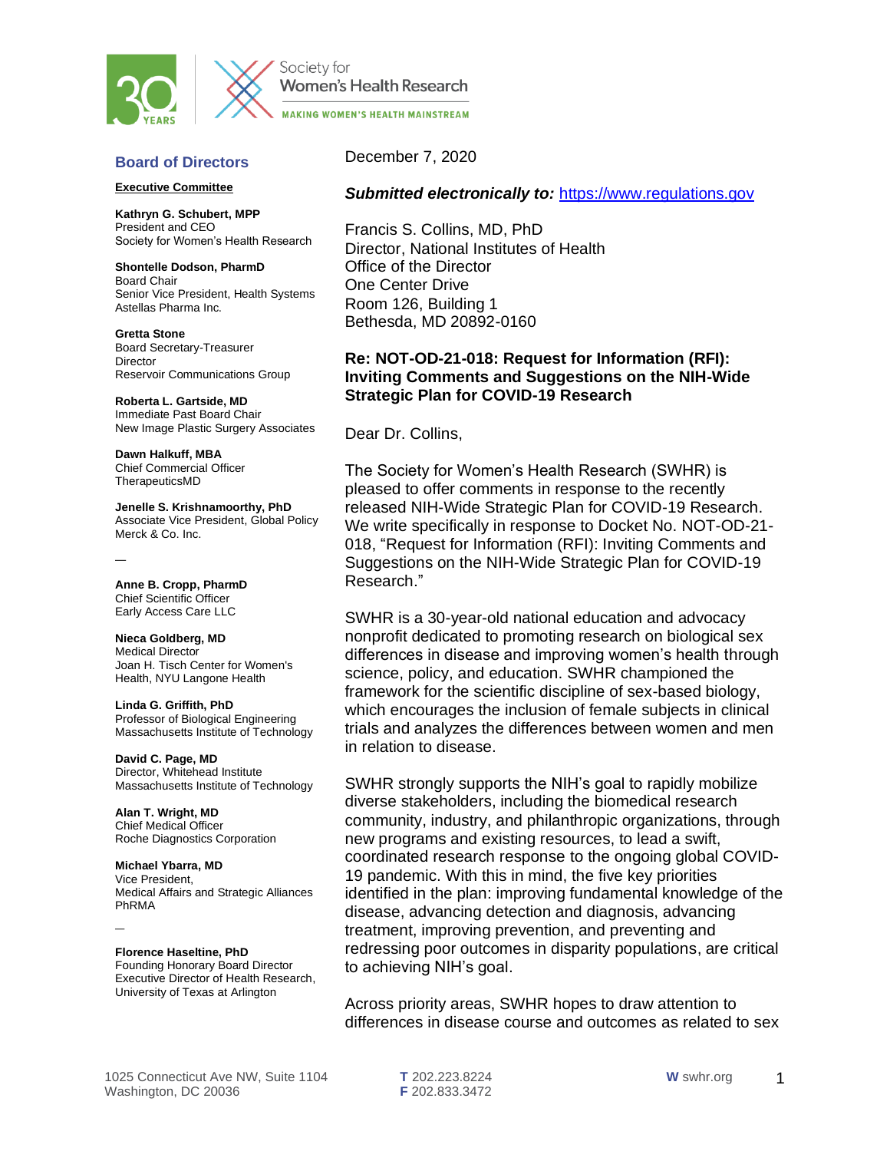



Society for Women's Health Research **MAKING WOMEN'S HEALTH MAINSTREAM** 

## **Board of Directors**

#### **Executive Committee**

**Kathryn G. Schubert, MPP** President and CEO Society for Women's Health Research

**Shontelle Dodson, PharmD** Board Chair Senior Vice President, Health Systems Astellas Pharma Inc.

**Gretta Stone** Board Secretary-Treasurer **Director** Reservoir Communications Group

**Roberta L. Gartside, MD** Immediate Past Board Chair New Image Plastic Surgery Associates

**Dawn Halkuff, MBA** Chief Commercial Officer TherapeuticsMD

**Jenelle S. Krishnamoorthy, PhD** Associate Vice President, Global Policy Merck & Co. Inc.

**Anne B. Cropp, PharmD** Chief Scientific Officer Early Access Care LLC

—

**Nieca Goldberg, MD** Medical Director Joan H. Tisch Center for Women's Health, NYU Langone Health

**Linda G. Griffith, PhD** Professor of Biological Engineering Massachusetts Institute of Technology

**David C. Page, MD** Director, Whitehead Institute Massachusetts Institute of Technology

**Alan T. Wright, MD** Chief Medical Officer Roche Diagnostics Corporation

**Michael Ybarra, MD** Vice President, Medical Affairs and Strategic Alliances PhRMA

**Florence Haseltine, PhD**

—

Founding Honorary Board Director Executive Director of Health Research, University of Texas at Arlington

December 7, 2020

## *Submitted electronically to:* [https://www.regulations.gov](https://www.regulations.gov/)

Francis S. Collins, MD, PhD Director, National Institutes of Health Office of the Director One Center Drive Room 126, Building 1 Bethesda, MD 20892-0160

# **Re: NOT-OD-21-018: Request for Information (RFI): Inviting Comments and Suggestions on the NIH-Wide Strategic Plan for COVID-19 Research**

Dear Dr. Collins,

The Society for Women's Health Research (SWHR) is pleased to offer comments in response to the recently released NIH-Wide Strategic Plan for COVID-19 Research. We write specifically in response to Docket No. NOT-OD-21- 018, "Request for Information (RFI): Inviting Comments and Suggestions on the NIH-Wide Strategic Plan for COVID-19 Research."

SWHR is a 30-year-old national education and advocacy nonprofit dedicated to promoting research on biological sex differences in disease and improving women's health through science, policy, and education. SWHR championed the framework for the scientific discipline of sex-based biology, which encourages the inclusion of female subjects in clinical trials and analyzes the differences between women and men in relation to disease.

SWHR strongly supports the NIH's goal to rapidly mobilize diverse stakeholders, including the biomedical research community, industry, and philanthropic organizations, through new programs and existing resources, to lead a swift, coordinated research response to the ongoing global COVID-19 pandemic. With this in mind, the five key priorities identified in the plan: improving fundamental knowledge of the disease, advancing detection and diagnosis, advancing treatment, improving prevention, and preventing and redressing poor outcomes in disparity populations, are critical to achieving NIH's goal.

Across priority areas, SWHR hopes to draw attention to differences in disease course and outcomes as related to sex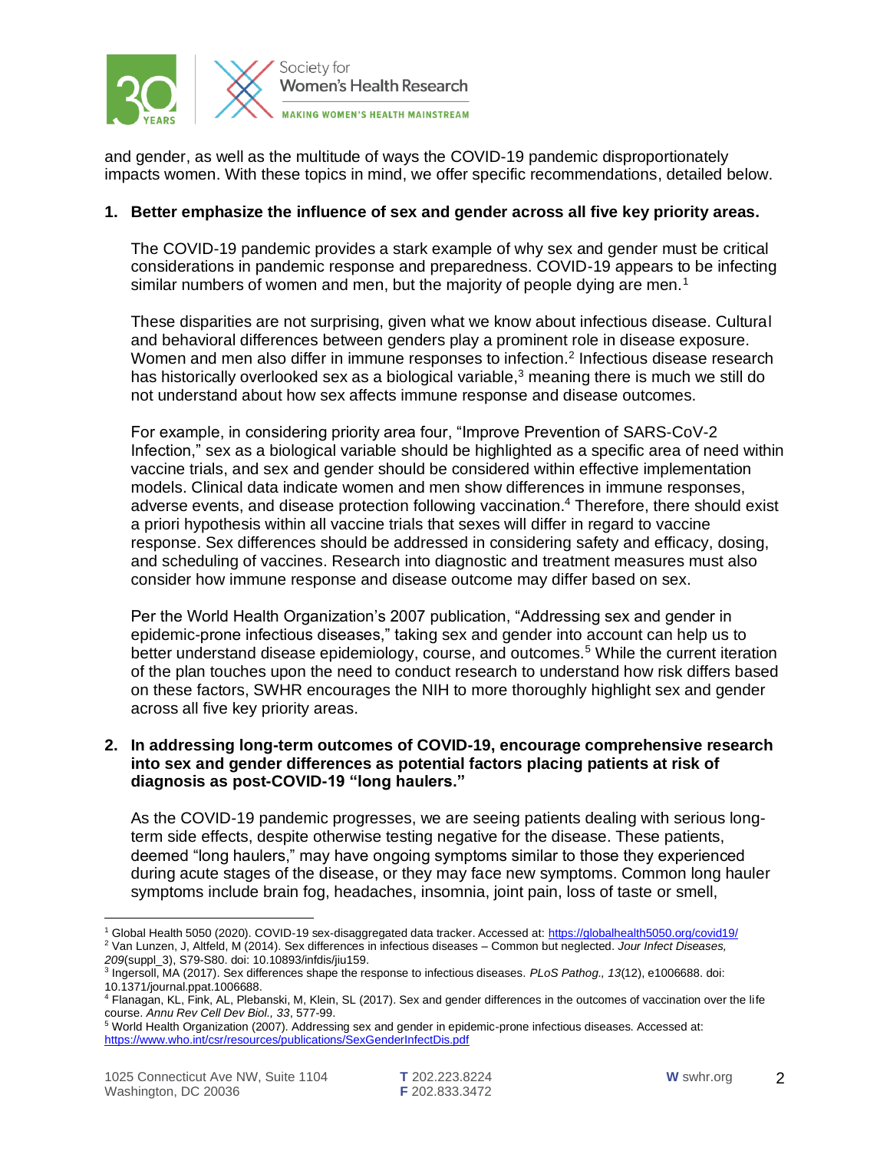

and gender, as well as the multitude of ways the COVID-19 pandemic disproportionately impacts women. With these topics in mind, we offer specific recommendations, detailed below.

# **1. Better emphasize the influence of sex and gender across all five key priority areas.**

The COVID-19 pandemic provides a stark example of why sex and gender must be critical considerations in pandemic response and preparedness. COVID-19 appears to be infecting similar numbers of women and men, but the majority of people dying are men.<sup>1</sup>

These disparities are not surprising, given what we know about infectious disease. Cultural and behavioral differences between genders play a prominent role in disease exposure. Women and men also differ in immune responses to infection.<sup>2</sup> Infectious disease research has historically overlooked sex as a biological variable,<sup>3</sup> meaning there is much we still do not understand about how sex affects immune response and disease outcomes.

For example, in considering priority area four, "Improve Prevention of SARS-CoV-2 Infection," sex as a biological variable should be highlighted as a specific area of need within vaccine trials, and sex and gender should be considered within effective implementation models. Clinical data indicate women and men show differences in immune responses, adverse events, and disease protection following vaccination.<sup>4</sup> Therefore, there should exist a priori hypothesis within all vaccine trials that sexes will differ in regard to vaccine response. Sex differences should be addressed in considering safety and efficacy, dosing, and scheduling of vaccines. Research into diagnostic and treatment measures must also consider how immune response and disease outcome may differ based on sex.

Per the World Health Organization's 2007 publication, "Addressing sex and gender in epidemic-prone infectious diseases," taking sex and gender into account can help us to better understand disease epidemiology, course, and outcomes.<sup>5</sup> While the current iteration of the plan touches upon the need to conduct research to understand how risk differs based on these factors, SWHR encourages the NIH to more thoroughly highlight sex and gender across all five key priority areas.

## **2. In addressing long-term outcomes of COVID-19, encourage comprehensive research into sex and gender differences as potential factors placing patients at risk of diagnosis as post-COVID-19 "long haulers."**

As the COVID-19 pandemic progresses, we are seeing patients dealing with serious longterm side effects, despite otherwise testing negative for the disease. These patients, deemed "long haulers," may have ongoing symptoms similar to those they experienced during acute stages of the disease, or they may face new symptoms. Common long hauler symptoms include brain fog, headaches, insomnia, joint pain, loss of taste or smell,

<sup>1</sup> Global Health 5050 (2020). COVID-19 sex-disaggregated data tracker. Accessed at:<https://globalhealth5050.org/covid19/>

<sup>2</sup> Van Lunzen, J, Altfeld, M (2014). Sex differences in infectious diseases – Common but neglected. *Jour Infect Diseases, 209*(suppl\_3), S79-S80. doi: 10.10893/infdis/jiu159.

<sup>3</sup> Ingersoll, MA (2017). Sex differences shape the response to infectious diseases. *PLoS Pathog., 13*(12), e1006688. doi: 10.1371/journal.ppat.1006688.

<sup>4</sup> Flanagan, KL, Fink, AL, Plebanski, M, Klein, SL (2017). Sex and gender differences in the outcomes of vaccination over the life course. *Annu Rev Cell Dev Biol., 33*, 577-99.

<sup>5</sup> World Health Organization (2007). Addressing sex and gender in epidemic-prone infectious diseases. Accessed at: <https://www.who.int/csr/resources/publications/SexGenderInfectDis.pdf>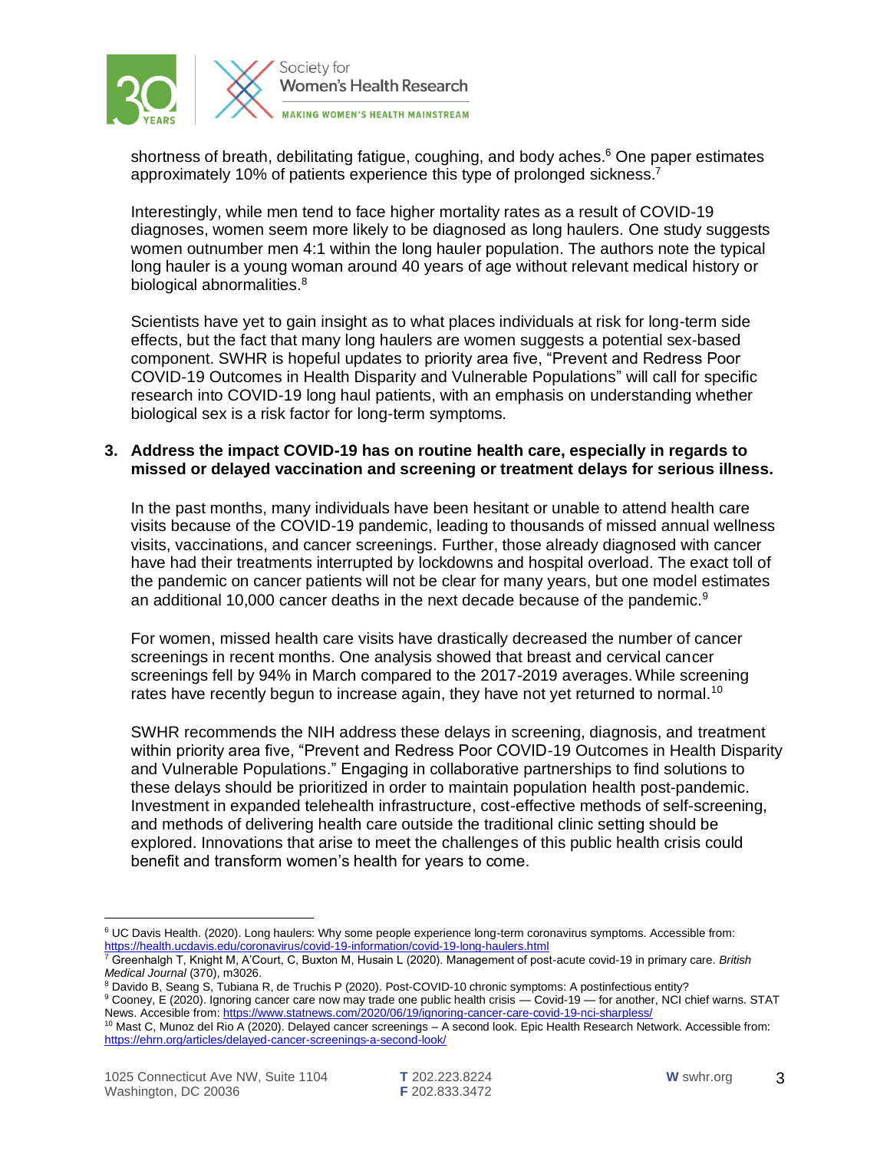

shortness of breath, debilitating fatigue, coughing, and body aches.<sup>6</sup> One paper estimates approximately 10% of patients experience this type of prolonged sickness.<sup>7</sup>

Interestingly, while men tend to face higher mortality rates as a result of COVID-19 diagnoses, women seem more likely to be diagnosed as long haulers. One study suggests women outnumber men 4:1 within the long hauler population. The authors note the typical long hauler is a young woman around 40 years of age without relevant medical history or biological abnormalities.<sup>8</sup>

Scientists have yet to gain insight as to what places individuals at risk for long-term side effects, but the fact that many long haulers are women suggests a potential sex-based component. SWHR is hopeful updates to priority area five, "Prevent and Redress Poor COVID-19 Outcomes in Health Disparity and Vulnerable Populations" will call for specific research into COVID-19 long haul patients, with an emphasis on understanding whether biological sex is a risk factor for long-term symptoms.

## **3. Address the impact COVID-19 has on routine health care, especially in regards to missed or delayed vaccination and screening or treatment delays for serious illness.**

In the past months, many individuals have been hesitant or unable to attend health care visits because of the COVID-19 pandemic, leading to thousands of missed annual wellness visits, vaccinations, and cancer screenings. Further, those already diagnosed with cancer have had their treatments interrupted by lockdowns and hospital overload. The exact toll of the pandemic on cancer patients will not be clear for many years, but one model estimates an additional 10,000 cancer deaths in the next decade because of the pandemic. $9$ 

For women, missed health care visits have drastically decreased the number of cancer screenings in recent months. One analysis showed that breast and cervical cancer screenings fell by 94% in March compared to the 2017-2019 averages. While screening rates have recently begun to increase again, they have not yet returned to normal.<sup>10</sup>

SWHR recommends the NIH address these delays in screening, diagnosis, and treatment within priority area five, "Prevent and Redress Poor COVID-19 Outcomes in Health Disparity and Vulnerable Populations." Engaging in collaborative partnerships to find solutions to these delays should be prioritized in order to maintain population health post-pandemic. Investment in expanded telehealth infrastructure, cost-effective methods of self-screening, and methods of delivering health care outside the traditional clinic setting should be explored. Innovations that arise to meet the challenges of this public health crisis could benefit and transform women's health for years to come.

<sup>&</sup>lt;sup>6</sup> UC Davis Health. (2020). Long haulers: Why some people experience long-term coronavirus symptoms. Accessible from: <https://health.ucdavis.edu/coronavirus/covid-19-information/covid-19-long-haulers.html>

<sup>7</sup> Greenhalgh T, Knight M, A'Court, C, Buxton M, Husain L (2020). Management of post-acute covid-19 in primary care. *British Medical Journal* (370), m3026.

<sup>8</sup> Davido B, Seang S, Tubiana R, de Truchis P (2020). Post-COVID-10 chronic symptoms: A postinfectious entity?

<sup>9</sup> Cooney, E (2020). Ignoring cancer care now may trade one public health crisis — Covid-19 — for another, NCI chief warns. STAT News. Accesible from[: https://www.statnews.com/2020/06/19/ignoring-cancer-care-covid-19-nci-sharpless/](https://www.statnews.com/2020/06/19/ignoring-cancer-care-covid-19-nci-sharpless/)

<sup>&</sup>lt;sup>10</sup> Mast C, Munoz del Rio A (2020). Delayed cancer screenings – A second look. Epic Health Research Network. Accessible from: <https://ehrn.org/articles/delayed-cancer-screenings-a-second-look/>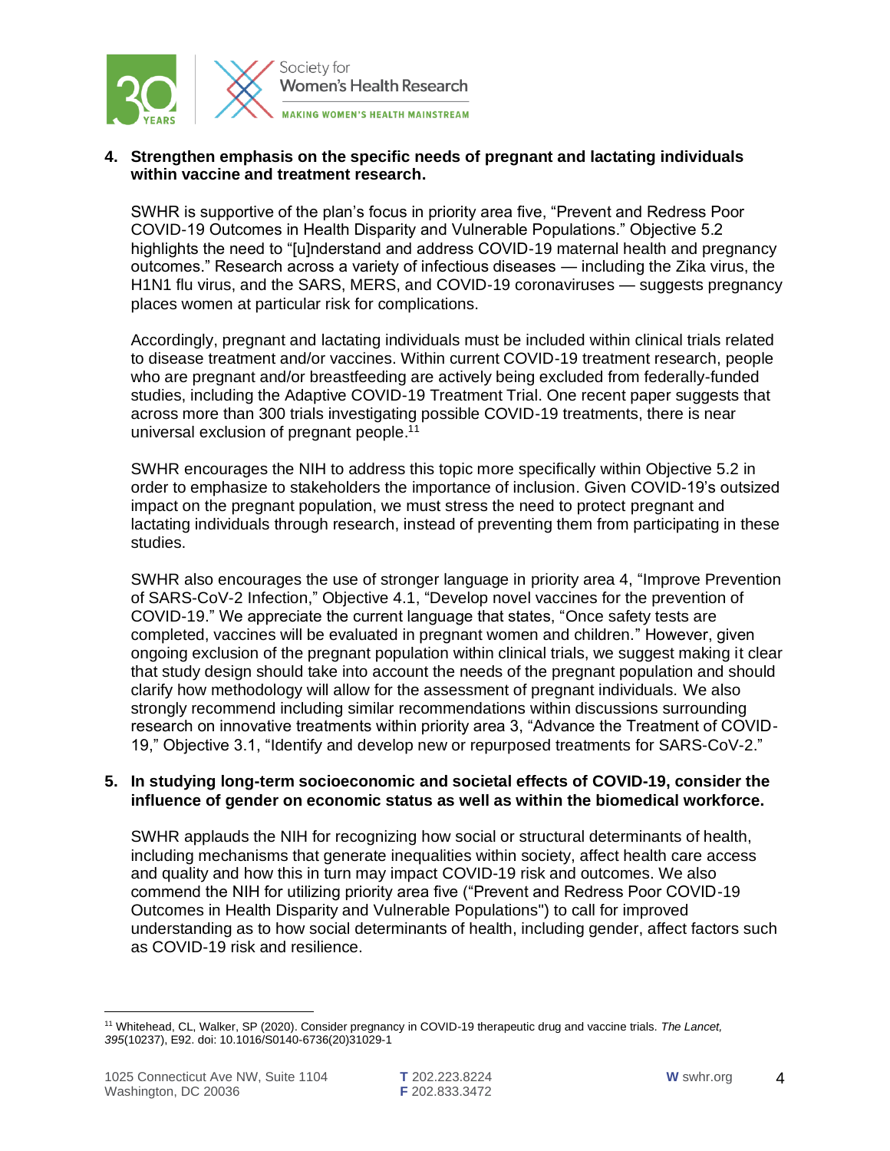

# **4. Strengthen emphasis on the specific needs of pregnant and lactating individuals within vaccine and treatment research.**

SWHR is supportive of the plan's focus in priority area five, "Prevent and Redress Poor COVID-19 Outcomes in Health Disparity and Vulnerable Populations." Objective 5.2 highlights the need to "[u]nderstand and address COVID-19 maternal health and pregnancy outcomes." Research across a variety of infectious diseases — including the Zika virus, the H1N1 flu virus, and the SARS, MERS, and COVID-19 coronaviruses — suggests pregnancy places women at particular risk for complications.

Accordingly, pregnant and lactating individuals must be included within clinical trials related to disease treatment and/or vaccines. Within current COVID-19 treatment research, people who are pregnant and/or breastfeeding are actively being excluded from federally-funded studies, including the Adaptive COVID-19 Treatment Trial. One recent paper suggests that across more than 300 trials investigating possible COVID-19 treatments, there is near universal exclusion of pregnant people.<sup>11</sup>

SWHR encourages the NIH to address this topic more specifically within Objective 5.2 in order to emphasize to stakeholders the importance of inclusion. Given COVID-19's outsized impact on the pregnant population, we must stress the need to protect pregnant and lactating individuals through research, instead of preventing them from participating in these studies.

SWHR also encourages the use of stronger language in priority area 4, "Improve Prevention of SARS-CoV-2 Infection," Objective 4.1, "Develop novel vaccines for the prevention of COVID-19." We appreciate the current language that states, "Once safety tests are completed, vaccines will be evaluated in pregnant women and children." However, given ongoing exclusion of the pregnant population within clinical trials, we suggest making it clear that study design should take into account the needs of the pregnant population and should clarify how methodology will allow for the assessment of pregnant individuals. We also strongly recommend including similar recommendations within discussions surrounding research on innovative treatments within priority area 3, "Advance the Treatment of COVID-19," Objective 3.1, "Identify and develop new or repurposed treatments for SARS-CoV-2."

#### **5. In studying long-term socioeconomic and societal effects of COVID-19, consider the influence of gender on economic status as well as within the biomedical workforce.**

SWHR applauds the NIH for recognizing how social or structural determinants of health, including mechanisms that generate inequalities within society, affect health care access and quality and how this in turn may impact COVID-19 risk and outcomes. We also commend the NIH for utilizing priority area five ("Prevent and Redress Poor COVID-19 Outcomes in Health Disparity and Vulnerable Populations") to call for improved understanding as to how social determinants of health, including gender, affect factors such as COVID-19 risk and resilience.

<sup>11</sup> Whitehead, CL, Walker, SP (2020). Consider pregnancy in COVID-19 therapeutic drug and vaccine trials. *The Lancet, 395*(10237), E92. doi: 10.1016/S0140-6736(20)31029-1